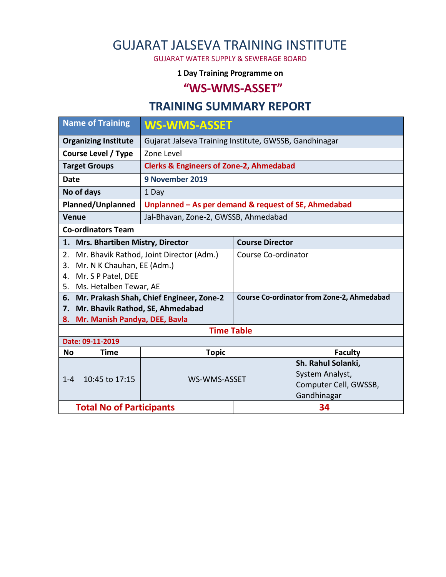# GUJARAT JALSEVA TRAINING INSTITUTE

GUJARAT WATER SUPPLY & SEWERAGE BOARD

#### **1 Day Training Programme on**

### **"WS-WMS-ASSET"**

## **TRAINING SUMMARY REPORT**

| <b>Name of Training</b>             |                                 | <b>WS-WMS-ASSET</b>                                    |                                                   |                       |  |  |  |
|-------------------------------------|---------------------------------|--------------------------------------------------------|---------------------------------------------------|-----------------------|--|--|--|
| <b>Organizing Institute</b>         |                                 | Gujarat Jalseva Training Institute, GWSSB, Gandhinagar |                                                   |                       |  |  |  |
| <b>Course Level / Type</b>          |                                 | Zone Level                                             |                                                   |                       |  |  |  |
| <b>Target Groups</b>                |                                 | <b>Clerks &amp; Engineers of Zone-2, Ahmedabad</b>     |                                                   |                       |  |  |  |
| <b>Date</b>                         |                                 | 9 November 2019                                        |                                                   |                       |  |  |  |
| No of days                          |                                 | 1 Day                                                  |                                                   |                       |  |  |  |
| Planned/Unplanned                   |                                 | Unplanned - As per demand & request of SE, Ahmedabad   |                                                   |                       |  |  |  |
| <b>Venue</b>                        |                                 | Jal-Bhavan, Zone-2, GWSSB, Ahmedabad                   |                                                   |                       |  |  |  |
| <b>Co-ordinators Team</b>           |                                 |                                                        |                                                   |                       |  |  |  |
| 1. Mrs. Bhartiben Mistry, Director  |                                 |                                                        | <b>Course Director</b>                            |                       |  |  |  |
| 2.                                  |                                 | Mr. Bhavik Rathod, Joint Director (Adm.)               | Course Co-ordinator                               |                       |  |  |  |
| 3.                                  | Mr. N K Chauhan, EE (Adm.)      |                                                        |                                                   |                       |  |  |  |
| 4.                                  | Mr. S P Patel, DEE              |                                                        |                                                   |                       |  |  |  |
| 5.                                  | Ms. Hetalben Tewar, AE          |                                                        |                                                   |                       |  |  |  |
|                                     |                                 | 6. Mr. Prakash Shah, Chief Engineer, Zone-2            | <b>Course Co-ordinator from Zone-2, Ahmedabad</b> |                       |  |  |  |
| 7.                                  |                                 | Mr. Bhavik Rathod, SE, Ahmedabad                       |                                                   |                       |  |  |  |
| Mr. Manish Pandya, DEE, Bavla<br>8. |                                 |                                                        |                                                   |                       |  |  |  |
| <b>Time Table</b>                   |                                 |                                                        |                                                   |                       |  |  |  |
| Date: 09-11-2019                    |                                 |                                                        |                                                   |                       |  |  |  |
| <b>No</b>                           | <b>Time</b>                     | <b>Topic</b>                                           |                                                   | <b>Faculty</b>        |  |  |  |
|                                     | 10:45 to 17:15                  |                                                        |                                                   | Sh. Rahul Solanki,    |  |  |  |
| $1 - 4$                             |                                 | WS-WMS-ASSET                                           |                                                   | System Analyst,       |  |  |  |
|                                     |                                 |                                                        |                                                   | Computer Cell, GWSSB, |  |  |  |
|                                     |                                 |                                                        |                                                   | Gandhinagar           |  |  |  |
|                                     | <b>Total No of Participants</b> |                                                        | 34                                                |                       |  |  |  |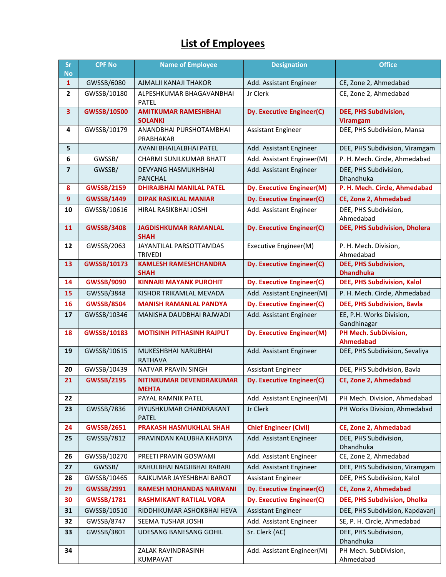## **List of Employees**

| Sr<br><b>No</b>         | <b>CPF No</b>      | <b>Name of Employee</b>                        | <b>Designation</b>               | <b>Office</b>                                   |
|-------------------------|--------------------|------------------------------------------------|----------------------------------|-------------------------------------------------|
| $\mathbf{1}$            | GWSSB/6080         | AJMALJI KANAJI THAKOR                          | Add. Assistant Engineer          | CE, Zone 2, Ahmedabad                           |
| $\overline{2}$          | GWSSB/10180        | ALPESHKUMAR BHAGAVANBHAI<br><b>PATEL</b>       | Jr Clerk                         | CE, Zone 2, Ahmedabad                           |
| 3                       | <b>GWSSB/10500</b> | <b>AMITKUMAR RAMESHBHAI</b><br><b>SOLANKI</b>  | Dy. Executive Engineer(C)        | <b>DEE, PHS Subdivision,</b><br><b>Viramgam</b> |
| 4                       | GWSSB/10179        | ANANDBHAI PURSHOTAMBHAI<br>PRABHAKAR           | <b>Assistant Engineer</b>        | DEE, PHS Subdivision, Mansa                     |
| 5                       |                    | AVANI BHAILALBHAI PATEL                        | Add. Assistant Engineer          | DEE, PHS Subdivision, Viramgam                  |
| 6                       | GWSSB/             | CHARMI SUNILKUMAR BHATT                        | Add. Assistant Engineer(M)       | P. H. Mech. Circle, Ahmedabad                   |
| $\overline{\mathbf{z}}$ | GWSSB/             | <b>DEVYANG HASMUKHBHAI</b><br><b>PANCHAL</b>   | Add. Assistant Engineer          | DEE, PHS Subdivision,<br>Dhandhuka              |
| 8                       | <b>GWSSB/2159</b>  | <b>DHIRAJBHAI MANILAL PATEL</b>                | <b>Dy. Executive Engineer(M)</b> | P. H. Mech. Circle, Ahmedabad                   |
| 9                       | <b>GWSSB/1449</b>  | <b>DIPAK RASIKLAL MANIAR</b>                   | Dy. Executive Engineer(C)        | CE, Zone 2, Ahmedabad                           |
| 10                      | GWSSB/10616        | HIRAL RASIKBHAI JOSHI                          | Add. Assistant Engineer          | DEE, PHS Subdivision,<br>Ahmedabad              |
| 11                      | <b>GWSSB/3408</b>  | <b>JAGDISHKUMAR RAMANLAL</b><br><b>SHAH</b>    | <b>Dy. Executive Engineer(C)</b> | DEE, PHS Subdivision, Dholera                   |
| 12                      | GWSSB/2063         | JAYANTILAL PARSOTTAMDAS                        | Executive Engineer(M)            | P. H. Mech. Division,                           |
| 13                      | <b>GWSSB/10173</b> | <b>TRIVEDI</b><br><b>KAMLESH RAMESHCHANDRA</b> | Dy. Executive Engineer(C)        | Ahmedabad<br>DEE, PHS Subdivision,              |
|                         |                    | <b>SHAH</b>                                    |                                  | <b>Dhandhuka</b>                                |
| 14                      | <b>GWSSB/9090</b>  | <b>KINNARI MAYANK PUROHIT</b>                  | <b>Dy. Executive Engineer(C)</b> | DEE, PHS Subdivision, Kalol                     |
| 15                      | GWSSB/3848         | KISHOR TRIKAMLAL MEVADA                        | Add. Assistant Engineer(M)       | P. H. Mech. Circle, Ahmedabad                   |
| 16                      | <b>GWSSB/8504</b>  | <b>MANISH RAMANLAL PANDYA</b>                  | <b>Dy. Executive Engineer(C)</b> | <b>DEE, PHS Subdivision, Bavla</b>              |
| 17                      | GWSSB/10346        | MANISHA DAUDBHAI RAJWADI                       | Add. Assistant Engineer          | EE, P.H. Works Division,<br>Gandhinagar         |
| 18                      | <b>GWSSB/10183</b> | <b>MOTISINH PITHASINH RAJPUT</b>               | <b>Dy. Executive Engineer(M)</b> | PH Mech. SubDivision,<br><b>Ahmedabad</b>       |
| 19                      | GWSSB/10615        | MUKESHBHAI NARUBHAI<br><b>RATHAVA</b>          | Add. Assistant Engineer          | DEE, PHS Subdivision, Sevaliya                  |
| 20                      | GWSSB/10439        | NATVAR PRAVIN SINGH                            | Assistant Engineer               | DEE, PHS Subdivision, Bavla                     |
| 21                      | <b>GWSSB/2195</b>  | NITINKUMAR DEVENDRAKUMAR<br><b>MEHTA</b>       | Dy. Executive Engineer(C)        | CE, Zone 2, Ahmedabad                           |
| 22                      |                    | PAYAL RAMNIK PATEL                             | Add. Assistant Engineer(M)       | PH Mech. Division, Ahmedabad                    |
| 23                      | GWSSB/7836         | PIYUSHKUMAR CHANDRAKANT<br><b>PATEL</b>        | Jr Clerk                         | PH Works Division, Ahmedabad                    |
| 24                      | <b>GWSSB/2651</b>  | PRAKASH HASMUKHLAL SHAH                        | <b>Chief Engineer (Civil)</b>    | CE, Zone 2, Ahmedabad                           |
| 25                      | GWSSB/7812         | PRAVINDAN KALUBHA KHADIYA                      | Add. Assistant Engineer          | DEE, PHS Subdivision,<br>Dhandhuka              |
| 26                      | GWSSB/10270        | PREETI PRAVIN GOSWAMI                          | Add. Assistant Engineer          | CE, Zone 2, Ahmedabad                           |
| 27                      | GWSSB/             | RAHULBHAI NAGJIBHAI RABARI                     | Add. Assistant Engineer          | DEE, PHS Subdivision, Viramgam                  |
| 28                      | GWSSB/10465        | RAJKUMAR JAYESHBHAI BAROT                      | Assistant Engineer               | DEE, PHS Subdivision, Kalol                     |
| 29                      | <b>GWSSB/2991</b>  | <b>RAMESH MOHANDAS NARWANI</b>                 | Dy. Executive Engineer(C)        | CE, Zone 2, Ahmedabad                           |
| 30                      | <b>GWSSB/1781</b>  | <b>RASHMIKANT RATILAL VORA</b>                 | Dy. Executive Engineer(C)        | DEE, PHS Subdivision, Dholka                    |
| 31                      | GWSSB/10510        | RIDDHIKUMAR ASHOKBHAI HEVA                     | Assistant Engineer               | DEE, PHS Subdivision, Kapdavanj                 |
| 32                      | GWSSB/8747         | SEEMA TUSHAR JOSHI                             | Add. Assistant Engineer          | SE, P. H. Circle, Ahmedabad                     |
| 33                      | GWSSB/3801         | UDESANG BANESANG GOHIL                         | Sr. Clerk (AC)                   | DEE, PHS Subdivision,<br>Dhandhuka              |
| 34                      |                    | ZALAK RAVINDRASINH<br>KUMPAVAT                 | Add. Assistant Engineer(M)       | PH Mech. SubDivision,<br>Ahmedabad              |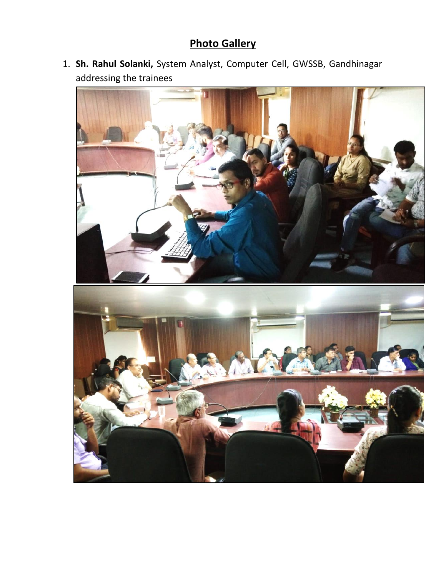## **Photo Gallery**

1. **Sh. Rahul Solanki,** System Analyst, Computer Cell, GWSSB, Gandhinagar addressing the trainees